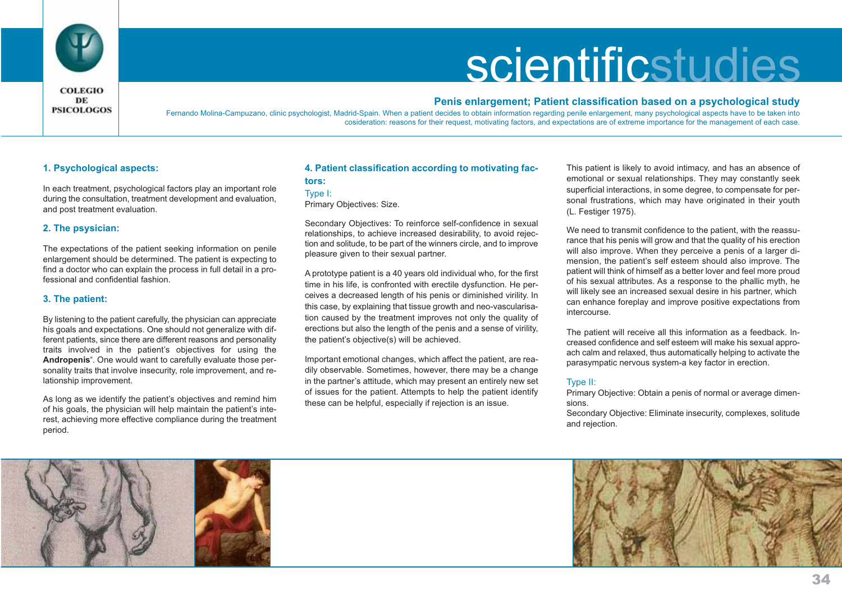

# **scientificstudies**

# **COLEGIO** DE **PSICOLOGOS**

## **Penis enlargement; Patient classification based on a psychological study**

Fernando Molina-Campuzano, clinic psychologist, Madrid-Spain. When a patient decides to obtain information regarding penile enlargement, many psychological aspects have to be taken into cosideration: reasons for their request, motivating factors, and expectations are of extreme importance for the management of each case.

# **1. Psychological aspects:**

In each treatment, psychological factors play an important role during the consultation, treatment development and evaluation, and post treatment evaluation.

## **2. The psysician:**

The expectations of the patient seeking information on penile enlargement should be determined. The patient is expecting to find a doctor who can explain the process in full detail in a professional and confidential fashion.

### **3. The patient:**

By listening to the patient carefully, the physician can appreciate his goals and expectations. One should not generalize with different patients, since there are different reasons and personality traits involved in the patient's objectives for using the **Andropenis®**. One would want to carefully evaluate those personality traits that involve insecurity, role improvement, and relationship improvement.

As long as we identify the patient's objectives and remind him of his goals, the physician will help maintain the patient's interest, achieving more effective compliance during the treatment period.

# **4. Patient classification according to motivating factors:**

Primary Objectives: Size.

Secondary Objectives: To reinforce self-confidence in sexual relationships, to achieve increased desirability, to avoid rejection and solitude, to be part of the winners circle, and to improve pleasure given to their sexual partner.

A prototype patient is a 40 years old individual who, for the first time in his life, is confronted with erectile dysfunction. He perceives a decreased length of his penis or diminished virility. In this case, by explaining that tissue growth and neo-vascularisation caused by the treatment improves not only the quality of erections but also the length of the penis and a sense of virility, the patient's objective(s) will be achieved.

Important emotional changes, which affect the patient, are readily observable. Sometimes, however, there may be a change in the partner's attitude, which may present an entirely new set of issues for the patient. Attempts to help the patient identify these can be helpful, especially if rejection is an issue.

This patient is likely to avoid intimacy, and has an absence of emotional or sexual relationships. They may constantly seek superficial interactions, in some degree, to compensate for personal frustrations, which may have originated in their youth (L. Festiger 1975).

We need to transmit confidence to the patient, with the reassurance that his penis will grow and that the quality of his erection will also improve. When they perceive a penis of a larger dimension, the patient's self esteem should also improve. The patient will think of himself as a better lover and feel more proud of his sexual attributes. As a response to the phallic myth, he will likely see an increased sexual desire in his partner, which can enhance foreplay and improve positive expectations from intercourse.

The patient will receive all this information as a feedback. Increased confidence and self esteem will make his sexual approach calm and relaxed, thus automatically helping to activate the parasympatic nervous system-a key factor in erection.

### Type II:

Primary Objective: Obtain a penis of normal or average dimensions.

Secondary Objective: Eliminate insecurity, complexes, solitude and rejection.





Type I: